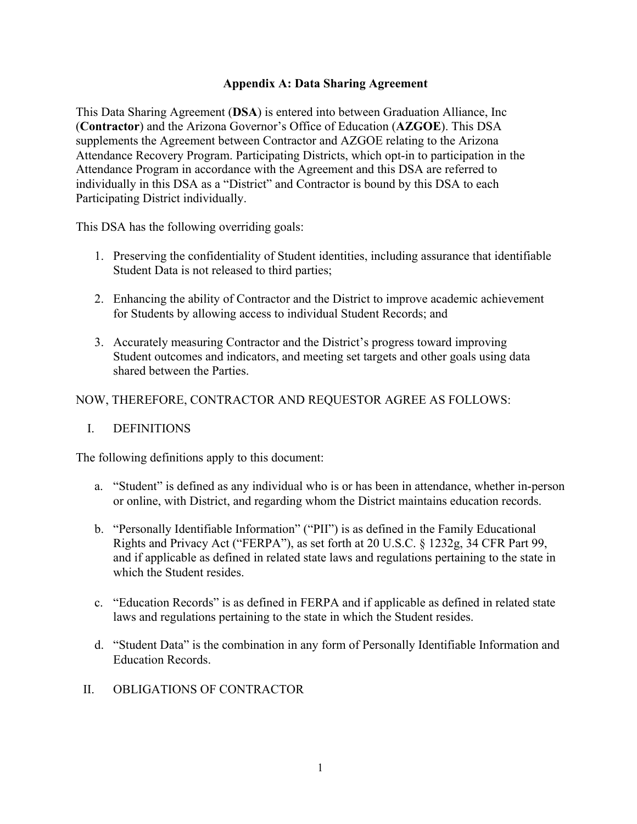# **Appendix A: Data Sharing Agreement**

This Data Sharing Agreement (**DSA**) is entered into between Graduation Alliance, Inc (**Contractor**) and the Arizona Governor's Office of Education (**AZGOE**). This DSA supplements the Agreement between Contractor and AZGOE relating to the Arizona Attendance Recovery Program. Participating Districts, which opt-in to participation in the Attendance Program in accordance with the Agreement and this DSA are referred to individually in this DSA as a "District" and Contractor is bound by this DSA to each Participating District individually.

This DSA has the following overriding goals:

- 1. Preserving the confidentiality of Student identities, including assurance that identifiable Student Data is not released to third parties;
- 2. Enhancing the ability of Contractor and the District to improve academic achievement for Students by allowing access to individual Student Records; and
- 3. Accurately measuring Contractor and the District's progress toward improving Student outcomes and indicators, and meeting set targets and other goals using data shared between the Parties.

## NOW, THEREFORE, CONTRACTOR AND REQUESTOR AGREE AS FOLLOWS:

### I. DEFINITIONS

The following definitions apply to this document:

- a. "Student" is defined as any individual who is or has been in attendance, whether in-person or online, with District, and regarding whom the District maintains education records.
- b. "Personally Identifiable Information" ("PII") is as defined in the Family Educational Rights and Privacy Act ("FERPA"), as set forth at 20 U.S.C. § 1232g, 34 CFR Part 99, and if applicable as defined in related state laws and regulations pertaining to the state in which the Student resides.
- c. "Education Records" is as defined in FERPA and if applicable as defined in related state laws and regulations pertaining to the state in which the Student resides.
- d. "Student Data" is the combination in any form of Personally Identifiable Information and Education Records.
- II. OBLIGATIONS OF CONTRACTOR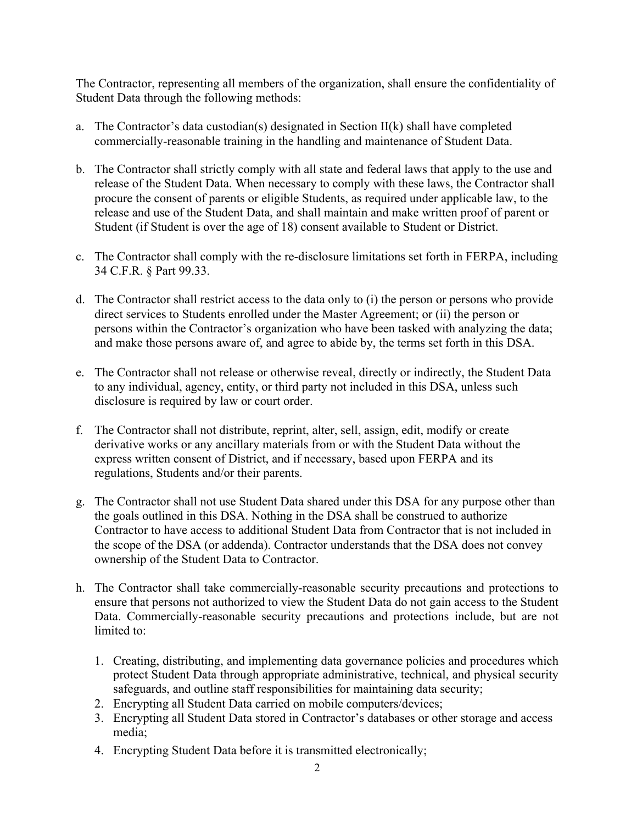The Contractor, representing all members of the organization, shall ensure the confidentiality of Student Data through the following methods:

- a. The Contractor's data custodian(s) designated in Section  $II(k)$  shall have completed commercially-reasonable training in the handling and maintenance of Student Data.
- b. The Contractor shall strictly comply with all state and federal laws that apply to the use and release of the Student Data. When necessary to comply with these laws, the Contractor shall procure the consent of parents or eligible Students, as required under applicable law, to the release and use of the Student Data, and shall maintain and make written proof of parent or Student (if Student is over the age of 18) consent available to Student or District.
- c. The Contractor shall comply with the re-disclosure limitations set forth in FERPA, including 34 C.F.R. § Part 99.33.
- d. The Contractor shall restrict access to the data only to (i) the person or persons who provide direct services to Students enrolled under the Master Agreement; or (ii) the person or persons within the Contractor's organization who have been tasked with analyzing the data; and make those persons aware of, and agree to abide by, the terms set forth in this DSA.
- e. The Contractor shall not release or otherwise reveal, directly or indirectly, the Student Data to any individual, agency, entity, or third party not included in this DSA, unless such disclosure is required by law or court order.
- f. The Contractor shall not distribute, reprint, alter, sell, assign, edit, modify or create derivative works or any ancillary materials from or with the Student Data without the express written consent of District, and if necessary, based upon FERPA and its regulations, Students and/or their parents.
- g. The Contractor shall not use Student Data shared under this DSA for any purpose other than the goals outlined in this DSA. Nothing in the DSA shall be construed to authorize Contractor to have access to additional Student Data from Contractor that is not included in the scope of the DSA (or addenda). Contractor understands that the DSA does not convey ownership of the Student Data to Contractor.
- h. The Contractor shall take commercially-reasonable security precautions and protections to ensure that persons not authorized to view the Student Data do not gain access to the Student Data. Commercially-reasonable security precautions and protections include, but are not limited to:
	- 1. Creating, distributing, and implementing data governance policies and procedures which protect Student Data through appropriate administrative, technical, and physical security safeguards, and outline staff responsibilities for maintaining data security;
	- 2. Encrypting all Student Data carried on mobile computers/devices;
	- 3. Encrypting all Student Data stored in Contractor's databases or other storage and access media;
	- 4. Encrypting Student Data before it is transmitted electronically;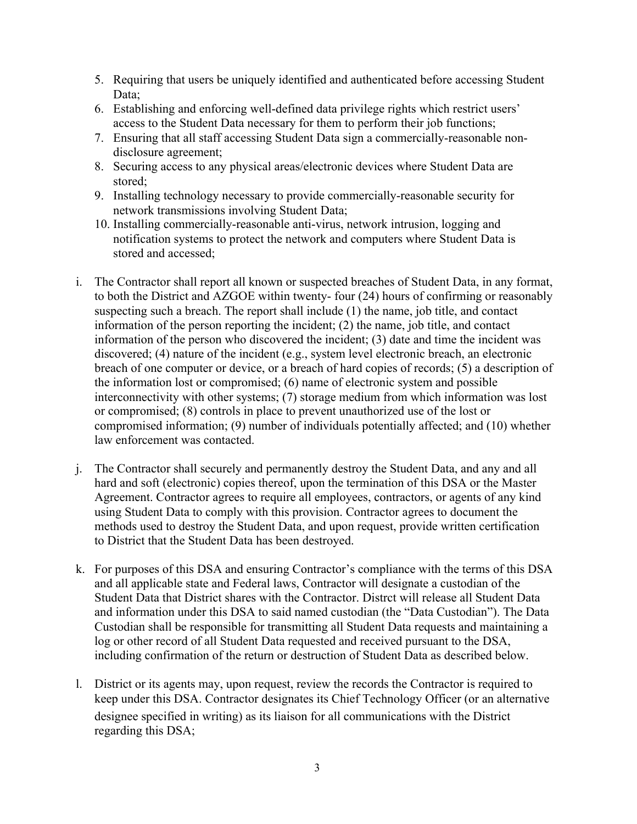- 5. Requiring that users be uniquely identified and authenticated before accessing Student Data;
- 6. Establishing and enforcing well-defined data privilege rights which restrict users' access to the Student Data necessary for them to perform their job functions;
- 7. Ensuring that all staff accessing Student Data sign a commercially-reasonable nondisclosure agreement;
- 8. Securing access to any physical areas/electronic devices where Student Data are stored;
- 9. Installing technology necessary to provide commercially-reasonable security for network transmissions involving Student Data;
- 10. Installing commercially-reasonable anti-virus, network intrusion, logging and notification systems to protect the network and computers where Student Data is stored and accessed;
- i. The Contractor shall report all known or suspected breaches of Student Data, in any format, to both the District and AZGOE within twenty- four (24) hours of confirming or reasonably suspecting such a breach. The report shall include (1) the name, job title, and contact information of the person reporting the incident; (2) the name, job title, and contact information of the person who discovered the incident; (3) date and time the incident was discovered; (4) nature of the incident (e.g., system level electronic breach, an electronic breach of one computer or device, or a breach of hard copies of records; (5) a description of the information lost or compromised; (6) name of electronic system and possible interconnectivity with other systems; (7) storage medium from which information was lost or compromised; (8) controls in place to prevent unauthorized use of the lost or compromised information; (9) number of individuals potentially affected; and (10) whether law enforcement was contacted.
- j. The Contractor shall securely and permanently destroy the Student Data, and any and all hard and soft (electronic) copies thereof, upon the termination of this DSA or the Master Agreement. Contractor agrees to require all employees, contractors, or agents of any kind using Student Data to comply with this provision. Contractor agrees to document the methods used to destroy the Student Data, and upon request, provide written certification to District that the Student Data has been destroyed.
- k. For purposes of this DSA and ensuring Contractor's compliance with the terms of this DSA and all applicable state and Federal laws, Contractor will designate a custodian of the Student Data that District shares with the Contractor. Distrct will release all Student Data and information under this DSA to said named custodian (the "Data Custodian"). The Data Custodian shall be responsible for transmitting all Student Data requests and maintaining a log or other record of all Student Data requested and received pursuant to the DSA, including confirmation of the return or destruction of Student Data as described below.
- l. District or its agents may, upon request, review the records the Contractor is required to keep under this DSA. Contractor designates its Chief Technology Officer (or an alternative designee specified in writing) as its liaison for all communications with the District regarding this DSA;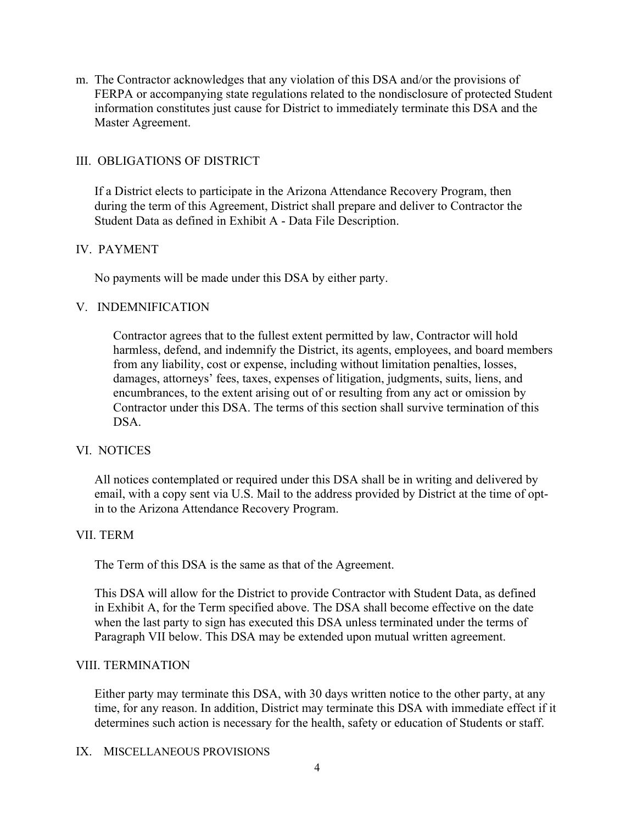m. The Contractor acknowledges that any violation of this DSA and/or the provisions of FERPA or accompanying state regulations related to the nondisclosure of protected Student information constitutes just cause for District to immediately terminate this DSA and the Master Agreement.

## III. OBLIGATIONS OF DISTRICT

If a District elects to participate in the Arizona Attendance Recovery Program, then during the term of this Agreement, District shall prepare and deliver to Contractor the Student Data as defined in Exhibit A - Data File Description.

### IV. PAYMENT

No payments will be made under this DSA by either party.

### V. INDEMNIFICATION

Contractor agrees that to the fullest extent permitted by law, Contractor will hold harmless, defend, and indemnify the District, its agents, employees, and board members from any liability, cost or expense, including without limitation penalties, losses, damages, attorneys' fees, taxes, expenses of litigation, judgments, suits, liens, and encumbrances, to the extent arising out of or resulting from any act or omission by Contractor under this DSA. The terms of this section shall survive termination of this DSA.

### VI. NOTICES

All notices contemplated or required under this DSA shall be in writing and delivered by email, with a copy sent via U.S. Mail to the address provided by District at the time of optin to the Arizona Attendance Recovery Program.

### VII. TERM

The Term of this DSA is the same as that of the Agreement.

This DSA will allow for the District to provide Contractor with Student Data, as defined in Exhibit A, for the Term specified above. The DSA shall become effective on the date when the last party to sign has executed this DSA unless terminated under the terms of Paragraph VII below. This DSA may be extended upon mutual written agreement.

### VIII. TERMINATION

Either party may terminate this DSA, with 30 days written notice to the other party, at any time, for any reason. In addition, District may terminate this DSA with immediate effect if it determines such action is necessary for the health, safety or education of Students or staff.

#### IX. MISCELLANEOUS PROVISIONS